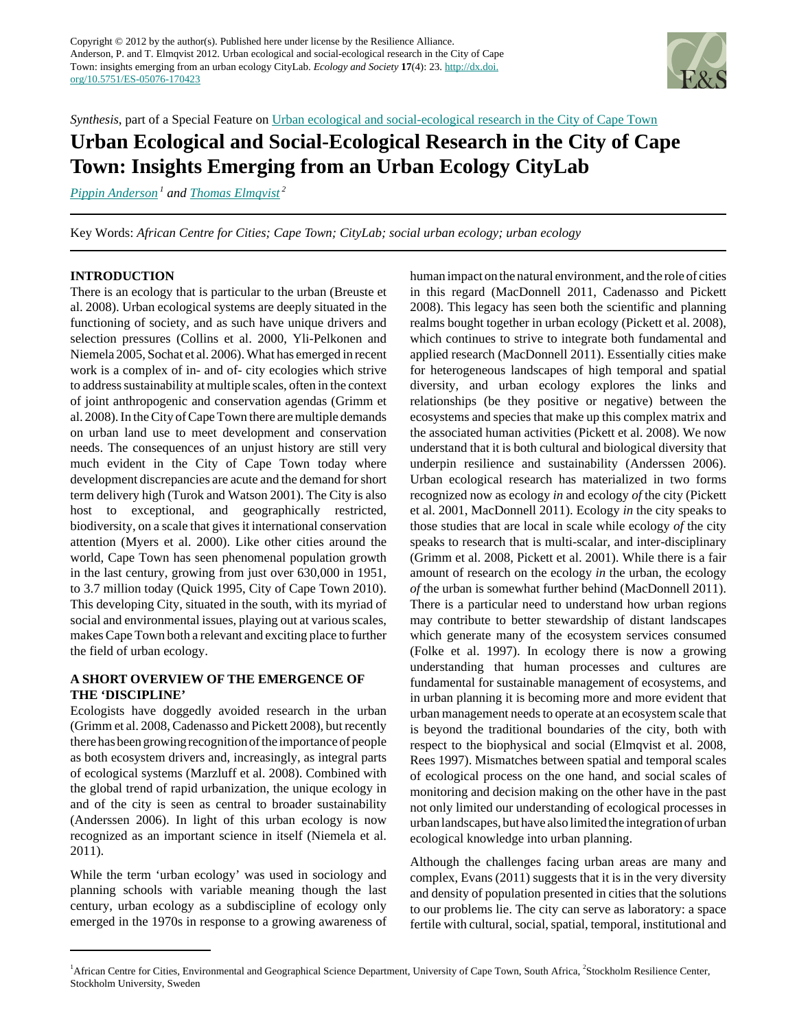

*Synthesis*, part of a Special Feature on [Urban ecological and social-ecological research in the City of Cape Town](http://www.ecologyandsociety.org/viewissue.php?sf=64)

# **Urban Ecological and Social-Ecological Research in the City of Cape Town: Insights Emerging from an Urban Ecology CityLab**

*[Pippin Anderson](mailto:pippin.anderson@uct.ac.za)<sup>1</sup> and [Thomas Elmqvist](mailto:thomase@ecology.su.se)<sup>2</sup>*

Key Words: *African Centre for Cities; Cape Town; CityLab; social urban ecology; urban ecology*

## **INTRODUCTION**

There is an ecology that is particular to the urban (Breuste et al. 2008). Urban ecological systems are deeply situated in the functioning of society, and as such have unique drivers and selection pressures (Collins et al. 2000, Yli-Pelkonen and Niemela 2005, Sochat et al. 2006). What has emerged in recent work is a complex of in- and of- city ecologies which strive to address sustainability at multiple scales, often in the context of joint anthropogenic and conservation agendas (Grimm et al. 2008). In the City of Cape Town there are multiple demands on urban land use to meet development and conservation needs. The consequences of an unjust history are still very much evident in the City of Cape Town today where development discrepancies are acute and the demand for short term delivery high (Turok and Watson 2001). The City is also host to exceptional, and geographically restricted, biodiversity, on a scale that gives it international conservation attention (Myers et al. 2000). Like other cities around the world, Cape Town has seen phenomenal population growth in the last century, growing from just over 630,000 in 1951, to 3.7 million today (Quick 1995, City of Cape Town 2010). This developing City, situated in the south, with its myriad of social and environmental issues, playing out at various scales, makes Cape Town both a relevant and exciting place to further the field of urban ecology.

## **A SHORT OVERVIEW OF THE EMERGENCE OF THE 'DISCIPLINE'**

Ecologists have doggedly avoided research in the urban (Grimm et al. 2008, Cadenasso and Pickett 2008), but recently there has been growing recognition of the importance of people as both ecosystem drivers and, increasingly, as integral parts of ecological systems (Marzluff et al. 2008). Combined with the global trend of rapid urbanization, the unique ecology in and of the city is seen as central to broader sustainability (Anderssen 2006). In light of this urban ecology is now recognized as an important science in itself (Niemela et al. 2011).

While the term 'urban ecology' was used in sociology and planning schools with variable meaning though the last century, urban ecology as a subdiscipline of ecology only emerged in the 1970s in response to a growing awareness of human impact on the natural environment, and the role of cities in this regard (MacDonnell 2011, Cadenasso and Pickett 2008). This legacy has seen both the scientific and planning realms bought together in urban ecology (Pickett et al. 2008), which continues to strive to integrate both fundamental and applied research (MacDonnell 2011). Essentially cities make for heterogeneous landscapes of high temporal and spatial diversity, and urban ecology explores the links and relationships (be they positive or negative) between the ecosystems and species that make up this complex matrix and the associated human activities (Pickett et al. 2008). We now understand that it is both cultural and biological diversity that underpin resilience and sustainability (Anderssen 2006). Urban ecological research has materialized in two forms recognized now as ecology *in* and ecology *of* the city (Pickett et al. 2001, MacDonnell 2011). Ecology *in* the city speaks to those studies that are local in scale while ecology *of* the city speaks to research that is multi-scalar, and inter-disciplinary (Grimm et al. 2008, Pickett et al. 2001). While there is a fair amount of research on the ecology *in* the urban, the ecology *of* the urban is somewhat further behind (MacDonnell 2011). There is a particular need to understand how urban regions may contribute to better stewardship of distant landscapes which generate many of the ecosystem services consumed (Folke et al. 1997). In ecology there is now a growing understanding that human processes and cultures are fundamental for sustainable management of ecosystems, and in urban planning it is becoming more and more evident that urban management needs to operate at an ecosystem scale that is beyond the traditional boundaries of the city, both with respect to the biophysical and social (Elmqvist et al. 2008, Rees 1997). Mismatches between spatial and temporal scales of ecological process on the one hand, and social scales of monitoring and decision making on the other have in the past not only limited our understanding of ecological processes in urban landscapes, but have also limited the integration of urban ecological knowledge into urban planning.

Although the challenges facing urban areas are many and complex, Evans (2011) suggests that it is in the very diversity and density of population presented in cities that the solutions to our problems lie. The city can serve as laboratory: a space fertile with cultural, social, spatial, temporal, institutional and

<sup>&</sup>lt;sup>1</sup> African Centre for Cities, Environmental and Geographical Science Department, University of Cape Town, South Africa, <sup>2</sup>Stockholm Resilience Center, Stockholm University, Sweden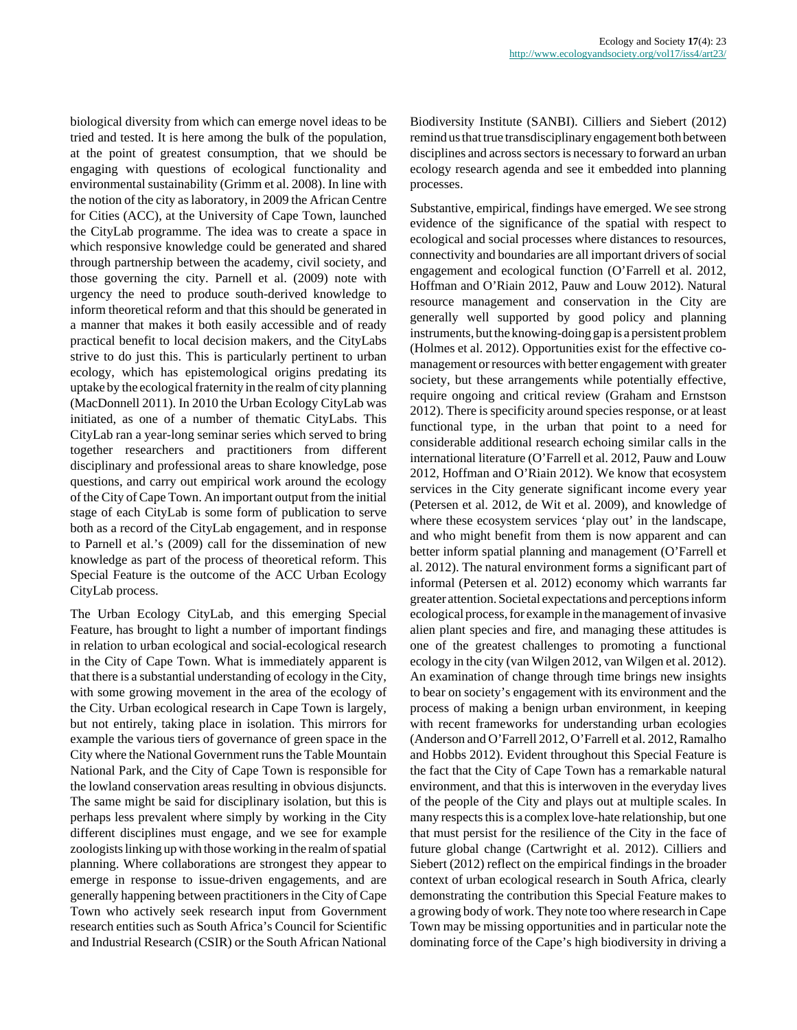biological diversity from which can emerge novel ideas to be tried and tested. It is here among the bulk of the population, at the point of greatest consumption, that we should be engaging with questions of ecological functionality and environmental sustainability (Grimm et al. 2008). In line with the notion of the city as laboratory, in 2009 the African Centre for Cities (ACC), at the University of Cape Town, launched the CityLab programme. The idea was to create a space in which responsive knowledge could be generated and shared through partnership between the academy, civil society, and those governing the city. Parnell et al. (2009) note with urgency the need to produce south-derived knowledge to inform theoretical reform and that this should be generated in a manner that makes it both easily accessible and of ready practical benefit to local decision makers, and the CityLabs strive to do just this. This is particularly pertinent to urban ecology, which has epistemological origins predating its uptake by the ecological fraternity in the realm of city planning (MacDonnell 2011). In 2010 the Urban Ecology CityLab was initiated, as one of a number of thematic CityLabs. This CityLab ran a year-long seminar series which served to bring together researchers and practitioners from different disciplinary and professional areas to share knowledge, pose questions, and carry out empirical work around the ecology of the City of Cape Town. An important output from the initial stage of each CityLab is some form of publication to serve both as a record of the CityLab engagement, and in response to Parnell et al.'s (2009) call for the dissemination of new knowledge as part of the process of theoretical reform. This Special Feature is the outcome of the ACC Urban Ecology CityLab process.

The Urban Ecology CityLab, and this emerging Special Feature, has brought to light a number of important findings in relation to urban ecological and social-ecological research in the City of Cape Town. What is immediately apparent is that there is a substantial understanding of ecology in the City, with some growing movement in the area of the ecology of the City. Urban ecological research in Cape Town is largely, but not entirely, taking place in isolation. This mirrors for example the various tiers of governance of green space in the City where the National Government runs the Table Mountain National Park, and the City of Cape Town is responsible for the lowland conservation areas resulting in obvious disjuncts. The same might be said for disciplinary isolation, but this is perhaps less prevalent where simply by working in the City different disciplines must engage, and we see for example zoologists linking up with those working in the realm of spatial planning. Where collaborations are strongest they appear to emerge in response to issue-driven engagements, and are generally happening between practitioners in the City of Cape Town who actively seek research input from Government research entities such as South Africa's Council for Scientific and Industrial Research (CSIR) or the South African National Biodiversity Institute (SANBI). Cilliers and Siebert (2012) remind us that true transdisciplinary engagement both between disciplines and across sectors is necessary to forward an urban ecology research agenda and see it embedded into planning processes.

Substantive, empirical, findings have emerged. We see strong evidence of the significance of the spatial with respect to ecological and social processes where distances to resources, connectivity and boundaries are all important drivers of social engagement and ecological function (O'Farrell et al. 2012, Hoffman and O'Riain 2012, Pauw and Louw 2012). Natural resource management and conservation in the City are generally well supported by good policy and planning instruments, but the knowing-doing gap is a persistent problem (Holmes et al. 2012). Opportunities exist for the effective comanagement or resources with better engagement with greater society, but these arrangements while potentially effective, require ongoing and critical review (Graham and Ernstson 2012). There is specificity around species response, or at least functional type, in the urban that point to a need for considerable additional research echoing similar calls in the international literature (O'Farrell et al. 2012, Pauw and Louw 2012, Hoffman and O'Riain 2012). We know that ecosystem services in the City generate significant income every year (Petersen et al. 2012, de Wit et al. 2009), and knowledge of where these ecosystem services 'play out' in the landscape, and who might benefit from them is now apparent and can better inform spatial planning and management (O'Farrell et al. 2012). The natural environment forms a significant part of informal (Petersen et al. 2012) economy which warrants far greater attention. Societal expectations and perceptions inform ecological process, for example in the management of invasive alien plant species and fire, and managing these attitudes is one of the greatest challenges to promoting a functional ecology in the city (van Wilgen 2012, van Wilgen et al. 2012). An examination of change through time brings new insights to bear on society's engagement with its environment and the process of making a benign urban environment, in keeping with recent frameworks for understanding urban ecologies (Anderson and O'Farrell 2012, O'Farrell et al. 2012, Ramalho and Hobbs 2012). Evident throughout this Special Feature is the fact that the City of Cape Town has a remarkable natural environment, and that this is interwoven in the everyday lives of the people of the City and plays out at multiple scales. In many respects this is a complex love-hate relationship, but one that must persist for the resilience of the City in the face of future global change (Cartwright et al. 2012). Cilliers and Siebert (2012) reflect on the empirical findings in the broader context of urban ecological research in South Africa, clearly demonstrating the contribution this Special Feature makes to a growing body of work. They note too where research in Cape Town may be missing opportunities and in particular note the dominating force of the Cape's high biodiversity in driving a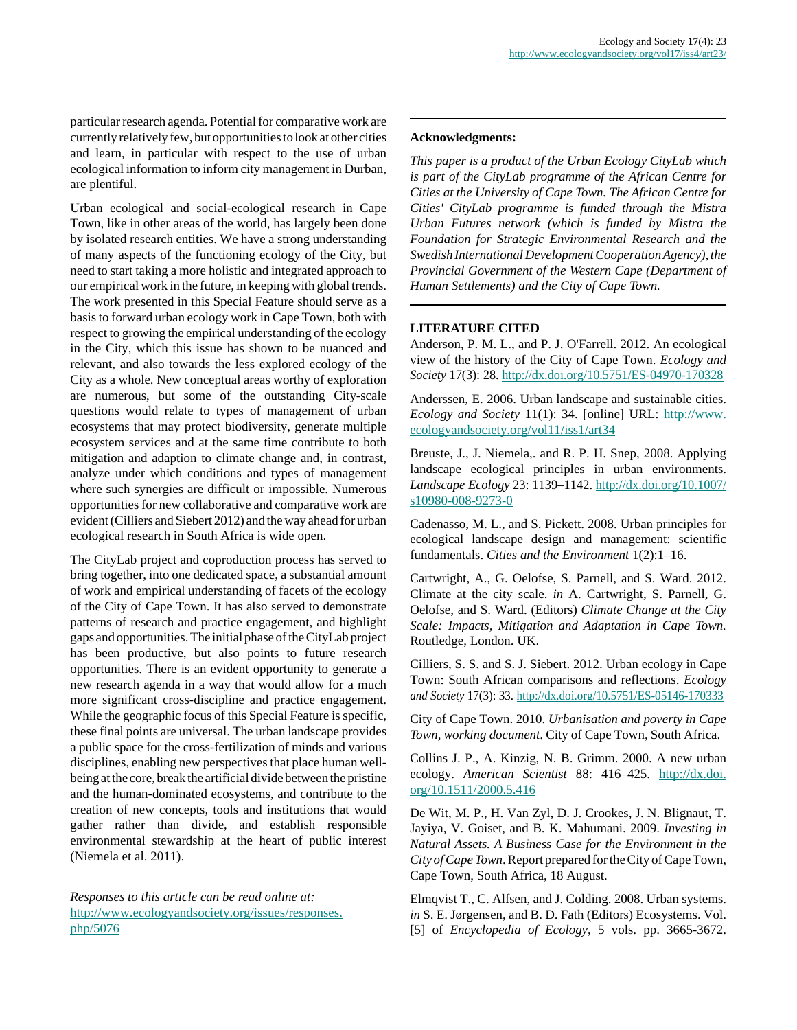particular research agenda. Potential for comparative work are currently relatively few, but opportunities to look at other cities and learn, in particular with respect to the use of urban ecological information to inform city management in Durban, are plentiful.

Urban ecological and social-ecological research in Cape Town, like in other areas of the world, has largely been done by isolated research entities. We have a strong understanding of many aspects of the functioning ecology of the City, but need to start taking a more holistic and integrated approach to our empirical work in the future, in keeping with global trends. The work presented in this Special Feature should serve as a basis to forward urban ecology work in Cape Town, both with respect to growing the empirical understanding of the ecology in the City, which this issue has shown to be nuanced and relevant, and also towards the less explored ecology of the City as a whole. New conceptual areas worthy of exploration are numerous, but some of the outstanding City-scale questions would relate to types of management of urban ecosystems that may protect biodiversity, generate multiple ecosystem services and at the same time contribute to both mitigation and adaption to climate change and, in contrast, analyze under which conditions and types of management where such synergies are difficult or impossible. Numerous opportunities for new collaborative and comparative work are evident (Cilliers and Siebert 2012) and the way ahead for urban ecological research in South Africa is wide open.

The CityLab project and coproduction process has served to bring together, into one dedicated space, a substantial amount of work and empirical understanding of facets of the ecology of the City of Cape Town. It has also served to demonstrate patterns of research and practice engagement, and highlight gaps and opportunities. The initial phase of the CityLab project has been productive, but also points to future research opportunities. There is an evident opportunity to generate a new research agenda in a way that would allow for a much more significant cross-discipline and practice engagement. While the geographic focus of this Special Feature is specific, these final points are universal. The urban landscape provides a public space for the cross-fertilization of minds and various disciplines, enabling new perspectives that place human wellbeing at the core, break the artificial divide between the pristine and the human-dominated ecosystems, and contribute to the creation of new concepts, tools and institutions that would gather rather than divide, and establish responsible environmental stewardship at the heart of public interest (Niemela et al. 2011).

*Responses to this article can be read online at:* [http://www.ecologyandsociety.org/issues/responses.](http://www.ecologyandsociety.org/issues/responses.php/5076) [php/5076](http://www.ecologyandsociety.org/issues/responses.php/5076)

#### **Acknowledgments:**

*This paper is a product of the Urban Ecology CityLab which is part of the CityLab programme of the African Centre for Cities at the University of Cape Town. The African Centre for Cities' CityLab programme is funded through the Mistra Urban Futures network (which is funded by Mistra the Foundation for Strategic Environmental Research and the Swedish International Development Cooperation Agency), the Provincial Government of the Western Cape (Department of Human Settlements) and the City of Cape Town.*

#### **LITERATURE CITED**

Anderson, P. M. L., and P. J. O'Farrell. 2012. An ecological view of the history of the City of Cape Town. *Ecology and Society* 17(3): 28. <http://dx.doi.org/10.5751/ES-04970-170328>

Anderssen, E. 2006. Urban landscape and sustainable cities. *Ecology and Society* 11(1): 34. [online] URL: [http://www.](http://www.ecologyandsociety.org/vol11/iss1/art34/) [ecologyandsociety.org/vol11/iss1/art34](http://www.ecologyandsociety.org/vol11/iss1/art34/)

Breuste, J., J. Niemela,. and R. P. H. Snep, 2008. Applying landscape ecological principles in urban environments. *Landscape Ecology* 23: 1139–1142. [http://dx.doi.org/10.1007/](http://dx.doi.org/10.1007/s10980-008-9273-0) [s10980-008-9273-0](http://dx.doi.org/10.1007/s10980-008-9273-0)

Cadenasso, M. L., and S. Pickett. 2008. Urban principles for ecological landscape design and management: scientific fundamentals. *Cities and the Environment* 1(2):1–16.

Cartwright, A., G. Oelofse, S. Parnell, and S. Ward. 2012. Climate at the city scale. *in* A. Cartwright, S. Parnell, G. Oelofse, and S. Ward. (Editors) *Climate Change at the City Scale: Impacts, Mitigation and Adaptation in Cape Town.* Routledge, London. UK.

Cilliers, S. S. and S. J. Siebert. 2012. Urban ecology in Cape Town: South African comparisons and reflections. *Ecology and Society* 17(3): 33. <http://dx.doi.org/10.5751/ES-05146-170333>

City of Cape Town. 2010. *Urbanisation and poverty in Cape Town, working document*. City of Cape Town, South Africa.

Collins J. P., A. Kinzig, N. B. Grimm. 2000. A new urban ecology. *American Scientist* 88: 416–425. [http://dx.doi.](http://dx.doi.org/10.1511/2000.5.416) [org/10.1511/2000.5.416](http://dx.doi.org/10.1511/2000.5.416)

De Wit, M. P., H. Van Zyl, D. J. Crookes, J. N. Blignaut, T. Jayiya, V. Goiset, and B. K. Mahumani. 2009. *Investing in Natural Assets. A Business Case for the Environment in the City of Cape Town*. Report prepared for the City of Cape Town, Cape Town, South Africa, 18 August.

Elmqvist T., C. Alfsen, and J. Colding. 2008. Urban systems. *in* S. E. Jørgensen, and B. D. Fath (Editors) Ecosystems. Vol. [5] of *Encyclopedia of Ecology*, 5 vols. pp. 3665-3672.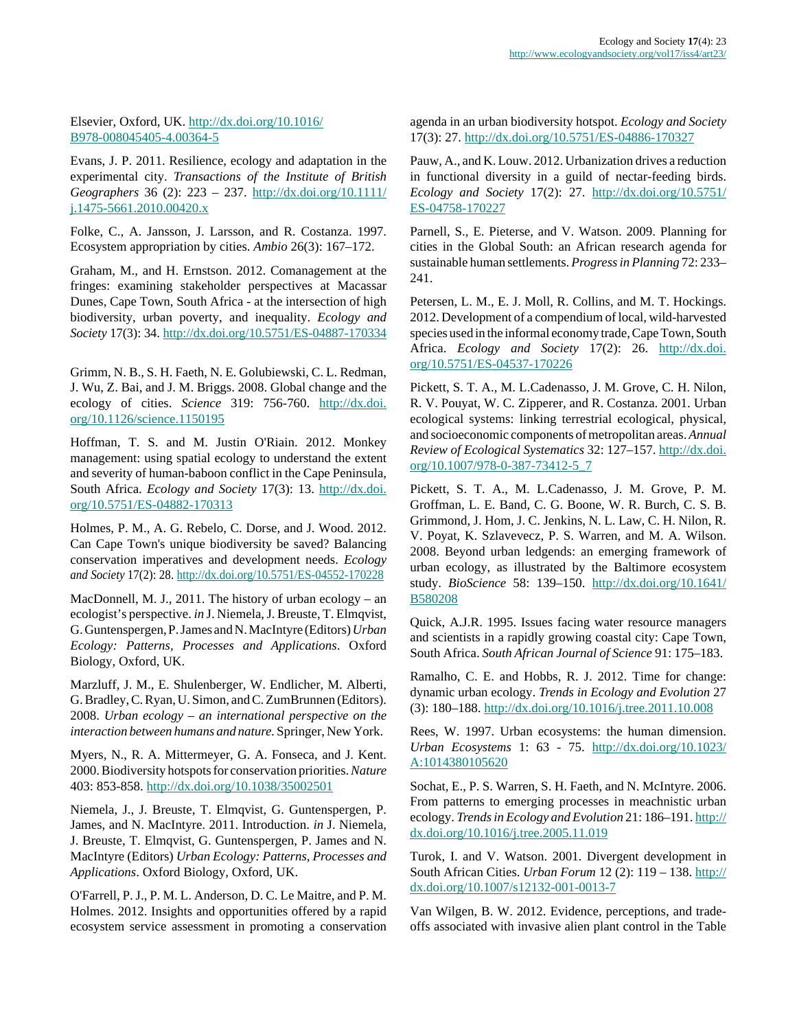### Elsevier, Oxford, UK. [http://dx.doi.org/10.1016/](http://dx.doi.org/10.1016/B978-008045405-4.00364-5) [B978-008045405-4.00364-5](http://dx.doi.org/10.1016/B978-008045405-4.00364-5)

Evans, J. P. 2011. Resilience, ecology and adaptation in the experimental city. *Transactions of the Institute of British Geographers* 36 (2): 223 – 237. [http://dx.doi.org/10.1111/](http://dx.doi.org/10.1111/j.1475-5661.2010.00420.x) [j.1475-5661.2010.00420.x](http://dx.doi.org/10.1111/j.1475-5661.2010.00420.x)

Folke, C., A. Jansson, J. Larsson, and R. Costanza. 1997. Ecosystem appropriation by cities. *Ambio* 26(3): 167–172.

Graham, M., and H. Ernstson. 2012. Comanagement at the fringes: examining stakeholder perspectives at Macassar Dunes, Cape Town, South Africa - at the intersection of high biodiversity, urban poverty, and inequality. *Ecology and Society* 17(3): 34.<http://dx.doi.org/10.5751/ES-04887-170334>

Grimm, N. B., S. H. Faeth, N. E. Golubiewski, C. L. Redman, J. Wu, Z. Bai, and J. M. Briggs. 2008. Global change and the ecology of cities. *Science* 319: 756-760. [http://dx.doi.](http://dx.doi.org/10.1126/science.1150195) [org/10.1126/science.1150195](http://dx.doi.org/10.1126/science.1150195)

Hoffman, T. S. and M. Justin O'Riain. 2012. Monkey management: using spatial ecology to understand the extent and severity of human-baboon conflict in the Cape Peninsula, South Africa. *Ecology and Society* 17(3): 13. [http://dx.doi.](http://dx.doi.org/10.5751/ES-04882-170313) [org/10.5751/ES-04882-170313](http://dx.doi.org/10.5751/ES-04882-170313) 

Holmes, P. M., A. G. Rebelo, C. Dorse, and J. Wood. 2012. Can Cape Town's unique biodiversity be saved? Balancing conservation imperatives and development needs. *Ecology and Society* 17(2): 28. <http://dx.doi.org/10.5751/ES-04552-170228>

MacDonnell, M. J., 2011. The history of urban ecology – an ecologist's perspective. *in* J. Niemela, J. Breuste, T. Elmqvist, G. Guntenspergen, P. James and N. MacIntyre (Editors) *Urban Ecology: Patterns, Processes and Applications*. Oxford Biology, Oxford, UK.

Marzluff, J. M., E. Shulenberger, W. Endlicher, M. Alberti, G. Bradley, C. Ryan, U. Simon, and C. ZumBrunnen (Editors). 2008. *Urban ecology – an international perspective on the interaction between humans and nature.* Springer, New York.

Myers, N., R. A. Mittermeyer, G. A. Fonseca, and J. Kent. 2000. Biodiversity hotspots for conservation priorities. *Nature* 403: 853-858. <http://dx.doi.org/10.1038/35002501>

Niemela, J., J. Breuste, T. Elmqvist, G. Guntenspergen, P. James, and N. MacIntyre. 2011. Introduction. *in* J. Niemela, J. Breuste, T. Elmqvist, G. Guntenspergen, P. James and N. MacIntyre (Editors) *Urban Ecology: Patterns, Processes and Applications*. Oxford Biology, Oxford, UK.

O'Farrell, P. J., P. M. L. Anderson, D. C. Le Maitre, and P. M. Holmes. 2012. Insights and opportunities offered by a rapid ecosystem service assessment in promoting a conservation agenda in an urban biodiversity hotspot. *Ecology and Society* 17(3): 27. <http://dx.doi.org/10.5751/ES-04886-170327>

Pauw, A., and K. Louw. 2012. Urbanization drives a reduction in functional diversity in a guild of nectar-feeding birds. *Ecology and Society* 17(2): 27. [http://dx.doi.org/10.5751/](http://dx.doi.org/10.5751/ES-04758-170227) [ES-04758-170227](http://dx.doi.org/10.5751/ES-04758-170227)

Parnell, S., E. Pieterse, and V. Watson. 2009. Planning for cities in the Global South: an African research agenda for sustainable human settlements. *Progress in Planning* 72: 233– 241.

Petersen, L. M., E. J. Moll, R. Collins, and M. T. Hockings. 2012. Development of a compendium of local, wild-harvested species used in the informal economy trade, Cape Town, South Africa. *Ecology and Society* 17(2): 26. [http://dx.doi.](http://dx.doi.org/10.5751/ES-04537-170226) [org/10.5751/ES-04537-170226](http://dx.doi.org/10.5751/ES-04537-170226) 

Pickett, S. T. A., M. L.Cadenasso, J. M. Grove, C. H. Nilon, R. V. Pouyat, W. C. Zipperer, and R. Costanza. 2001. Urban ecological systems: linking terrestrial ecological, physical, and socioeconomic components of metropolitan areas. *Annual Review of Ecological Systematics* 32: 127–157. [http://dx.doi.](http://dx.doi.org/10.1007/978-0-387-73412-5_7) [org/10.1007/978-0-387-73412-5\\_7](http://dx.doi.org/10.1007/978-0-387-73412-5_7)

Pickett, S. T. A., M. L.Cadenasso, J. M. Grove, P. M. Groffman, L. E. Band, C. G. Boone, W. R. Burch, C. S. B. Grimmond, J. Hom, J. C. Jenkins, N. L. Law, C. H. Nilon, R. V. Poyat, K. Szlavevecz, P. S. Warren, and M. A. Wilson. 2008. Beyond urban ledgends: an emerging framework of urban ecology, as illustrated by the Baltimore ecosystem study. *BioScience* 58: 139–150. [http://dx.doi.org/10.1641/](http://dx.doi.org/10.1641/B580208) [B580208](http://dx.doi.org/10.1641/B580208)

Quick, A.J.R. 1995. Issues facing water resource managers and scientists in a rapidly growing coastal city: Cape Town, South Africa. *South African Journal of Science* 91: 175–183.

Ramalho, C. E. and Hobbs, R. J. 2012. Time for change: dynamic urban ecology. *Trends in Ecology and Evolution* 27 (3): 180–188. <http://dx.doi.org/10.1016/j.tree.2011.10.008>

Rees, W. 1997. Urban ecosystems: the human dimension. *Urban Ecosystems* 1: 63 - 75. [http://dx.doi.org/10.1023/](http://dx.doi.org/10.1023/A:1014380105620) [A:1014380105620](http://dx.doi.org/10.1023/A:1014380105620)

Sochat, E., P. S. Warren, S. H. Faeth, and N. McIntyre. 2006. From patterns to emerging processes in meachnistic urban ecology. *Trends in Ecology and Evolution* 21: 186–191. [http://](http://dx.doi.org/10.1016/j.tree.2005.11.019) [dx.doi.org/10.1016/j.tree.2005.11.019](http://dx.doi.org/10.1016/j.tree.2005.11.019) 

Turok, I. and V. Watson. 2001. Divergent development in South African Cities. *Urban Forum* 12 (2): 119 – 138. [http://](http://dx.doi.org/10.1007/s12132-001-0013-7) [dx.doi.org/10.1007/s12132-001-0013-7](http://dx.doi.org/10.1007/s12132-001-0013-7)

Van Wilgen, B. W. 2012. Evidence, perceptions, and tradeoffs associated with invasive alien plant control in the Table